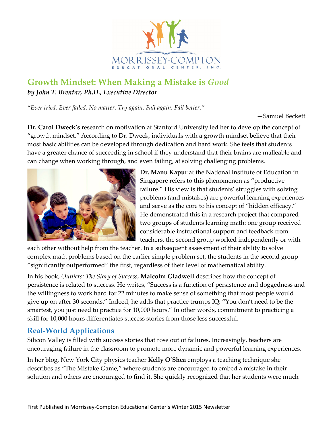

## **Growth Mindset: When Making a Mistake is** *Good by John T. Brentar, Ph.D., Executive Director*

*"Ever tried. Ever failed. No matter. Try again. Fail again. Fail better."*

—Samuel Beckett

**Dr. Carol Dweck's** research on motivation at Stanford University led her to develop the concept of "growth mindset." According to Dr. Dweck, individuals with a growth mindset believe that their most basic abilities can be developed through dedication and hard work. She feels that students have a greater chance of succeeding in school if they understand that their brains are malleable and can change when working through, and even failing, at solving challenging problems.



**Dr. Manu Kapur** at the National Institute of Education in Singapore refers to this phenomenon as "productive failure." His view is that students' struggles with solving problems (and mistakes) are powerful learning experiences and serve as the core to his concept of "hidden efficacy." He demonstrated this in a research project that compared two groups of students learning math: one group received considerable instructional support and feedback from teachers, the second group worked independently or with

each other without help from the teacher. In a subsequent assessment of their ability to solve complex math problems based on the earlier simple problem set, the students in the second group "significantly outperformed" the first, regardless of their level of mathematical ability.

In his book, *Outliers: The Story of Success*, **Malcolm Gladwell** describes how the concept of persistence is related to success. He writes, "Success is a function of persistence and doggedness and the willingness to work hard for 22 minutes to make sense of something that most people would give up on after 30 seconds." Indeed, he adds that practice trumps IQ: "You don't need to be the smartest, you just need to practice for 10,000 hours." In other words, commitment to practicing a skill for 10,000 hours differentiates success stories from those less successful.

## **Real-World Applications**

Silicon Valley is filled with success stories that rose out of failures. Increasingly, teachers are encouraging failure in the classroom to promote more dynamic and powerful learning experiences.

In her blog, New York City physics teacher **Kelly O'Shea** employs a teaching technique she describes as "The Mistake Game," where students are encouraged to embed a mistake in their solution and others are encouraged to find it. She quickly recognized that her students were much